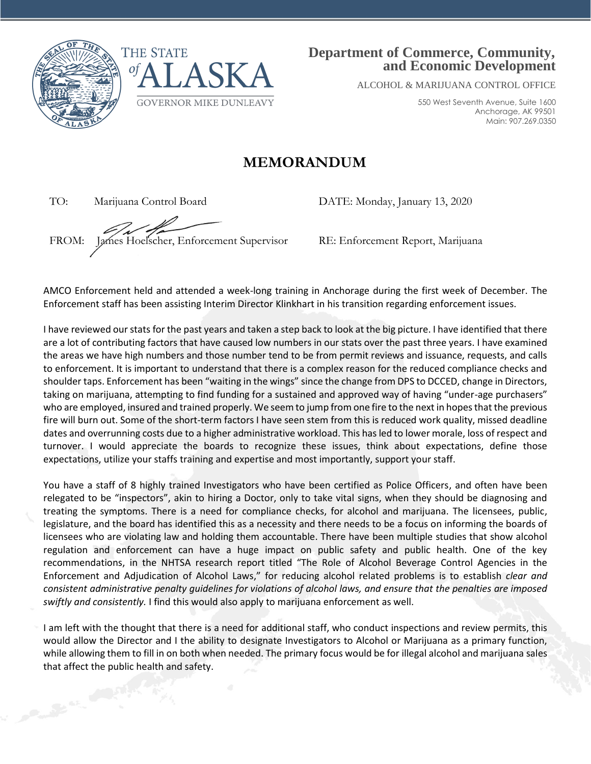



## **Department of Commerce, Community, and Economic Development**

ALCOHOL & MARIJUANA CONTROL OFFICE

550 West Seventh Avenue, Suite 1600 Anchorage, AK 99501 Main: 907.269.0350

## **MEMORANDUM**

TO: Marijuana Control Board DATE: Monday, January 13, 2020

FROM: James Hoelscher, Enforcement Supervisor RE: Enforcement Report, Marijuana

AMCO Enforcement held and attended a week-long training in Anchorage during the first week of December. The Enforcement staff has been assisting Interim Director Klinkhart in his transition regarding enforcement issues.

I have reviewed our stats for the past years and taken a step back to look at the big picture. I have identified that there are a lot of contributing factors that have caused low numbers in our stats over the past three years. I have examined the areas we have high numbers and those number tend to be from permit reviews and issuance, requests, and calls to enforcement. It is important to understand that there is a complex reason for the reduced compliance checks and shoulder taps. Enforcement has been "waiting in the wings" since the change from DPS to DCCED, change in Directors, taking on marijuana, attempting to find funding for a sustained and approved way of having "under-age purchasers" who are employed, insured and trained properly. We seem to jump from one fire to the next in hopes that the previous fire will burn out. Some of the short-term factors I have seen stem from this is reduced work quality, missed deadline dates and overrunning costs due to a higher administrative workload. This has led to lower morale, loss of respect and turnover. I would appreciate the boards to recognize these issues, think about expectations, define those expectations, utilize your staffs training and expertise and most importantly, support your staff.

You have a staff of 8 highly trained Investigators who have been certified as Police Officers, and often have been relegated to be "inspectors", akin to hiring a Doctor, only to take vital signs, when they should be diagnosing and treating the symptoms. There is a need for compliance checks, for alcohol and marijuana. The licensees, public, legislature, and the board has identified this as a necessity and there needs to be a focus on informing the boards of licensees who are violating law and holding them accountable. There have been multiple studies that show alcohol regulation and enforcement can have a huge impact on public safety and public health. One of the key recommendations, in the NHTSA research report titled "The Role of Alcohol Beverage Control Agencies in the Enforcement and Adjudication of Alcohol Laws," for reducing alcohol related problems is to establish *clear and consistent administrative penalty guidelines for violations of alcohol laws, and ensure that the penalties are imposed swiftly and consistently.* I find this would also apply to marijuana enforcement as well.

I am left with the thought that there is a need for additional staff, who conduct inspections and review permits, this would allow the Director and I the ability to designate Investigators to Alcohol or Marijuana as a primary function, while allowing them to fill in on both when needed. The primary focus would be for illegal alcohol and marijuana sales that affect the public health and safety.